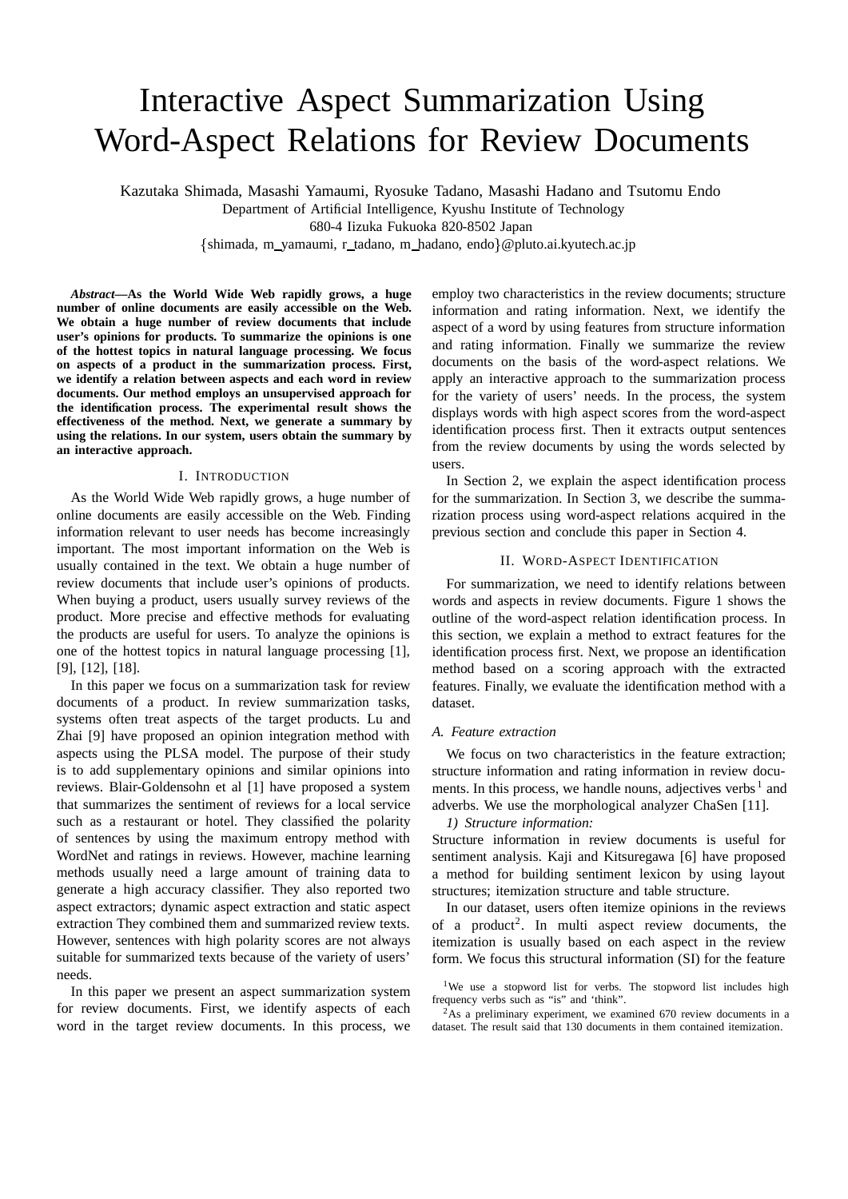# Interactive Aspect Summarization Using Word-Aspect Relations for Review Documents

Kazutaka Shimada, Masashi Yamaumi, Ryosuke Tadano, Masashi Hadano and Tsutomu Endo

Department of Artificial Intelligence, Kyushu Institute of Technology

680-4 Iizuka Fukuoka 820-8502 Japan

{shimada, m\_yamaumi, r\_tadano, m\_hadano, endo}@pluto.ai.kyutech.ac.jp

*Abstract***—As the World Wide Web rapidly grows, a huge number of online documents are easily accessible on the Web. We obtain a huge number of review documents that include user's opinions for products. To summarize the opinions is one of the hottest topics in natural language processing. We focus on aspects of a product in the summarization process. First, we identify a relation between aspects and each word in review documents. Our method employs an unsupervised approach for the identification process. The experimental result shows the effectiveness of the method. Next, we generate a summary by using the relations. In our system, users obtain the summary by an interactive approach.**

# I. INTRODUCTION

As the World Wide Web rapidly grows, a huge number of online documents are easily accessible on the Web. Finding information relevant to user needs has become increasingly important. The most important information on the Web is usually contained in the text. We obtain a huge number of review documents that include user's opinions of products. When buying a product, users usually survey reviews of the product. More precise and effective methods for evaluating the products are useful for users. To analyze the opinions is one of the hottest topics in natural language processing [1], [9], [12], [18].

In this paper we focus on a summarization task for review documents of a product. In review summarization tasks, systems often treat aspects of the target products. Lu and Zhai [9] have proposed an opinion integration method with aspects using the PLSA model. The purpose of their study is to add supplementary opinions and similar opinions into reviews. Blair-Goldensohn et al [1] have proposed a system that summarizes the sentiment of reviews for a local service such as a restaurant or hotel. They classified the polarity of sentences by using the maximum entropy method with WordNet and ratings in reviews. However, machine learning methods usually need a large amount of training data to generate a high accuracy classifier. They also reported two aspect extractors; dynamic aspect extraction and static aspect extraction They combined them and summarized review texts. However, sentences with high polarity scores are not always suitable for summarized texts because of the variety of users' needs.

In this paper we present an aspect summarization system for review documents. First, we identify aspects of each word in the target review documents. In this process, we

employ two characteristics in the review documents; structure information and rating information. Next, we identify the aspect of a word by using features from structure information and rating information. Finally we summarize the review documents on the basis of the word-aspect relations. We apply an interactive approach to the summarization process for the variety of users' needs. In the process, the system displays words with high aspect scores from the word-aspect identification process first. Then it extracts output sentences from the review documents by using the words selected by users.

In Section 2, we explain the aspect identification process for the summarization. In Section 3, we describe the summarization process using word-aspect relations acquired in the previous section and conclude this paper in Section 4.

# II. WORD-ASPECT IDENTIFICATION

For summarization, we need to identify relations between words and aspects in review documents. Figure 1 shows the outline of the word-aspect relation identification process. In this section, we explain a method to extract features for the identification process first. Next, we propose an identification method based on a scoring approach with the extracted features. Finally, we evaluate the identification method with a dataset.

# *A. Feature extraction*

We focus on two characteristics in the feature extraction; structure information and rating information in review documents. In this process, we handle nouns, adjectives verbs  $<sup>1</sup>$  and</sup> adverbs. We use the morphological analyzer ChaSen [11].

### *1) Structure information:*

Structure information in review documents is useful for sentiment analysis. Kaji and Kitsuregawa [6] have proposed a method for building sentiment lexicon by using layout structures; itemization structure and table structure.

In our dataset, users often itemize opinions in the reviews of a product<sup>2</sup>. In multi aspect review documents, the itemization is usually based on each aspect in the review form. We focus this structural information (SI) for the feature

<sup>&</sup>lt;sup>1</sup>We use a stopword list for verbs. The stopword list includes high frequency verbs such as "is" and 'think".

<sup>2</sup>As a preliminary experiment, we examined 670 review documents in a dataset. The result said that 130 documents in them contained itemization.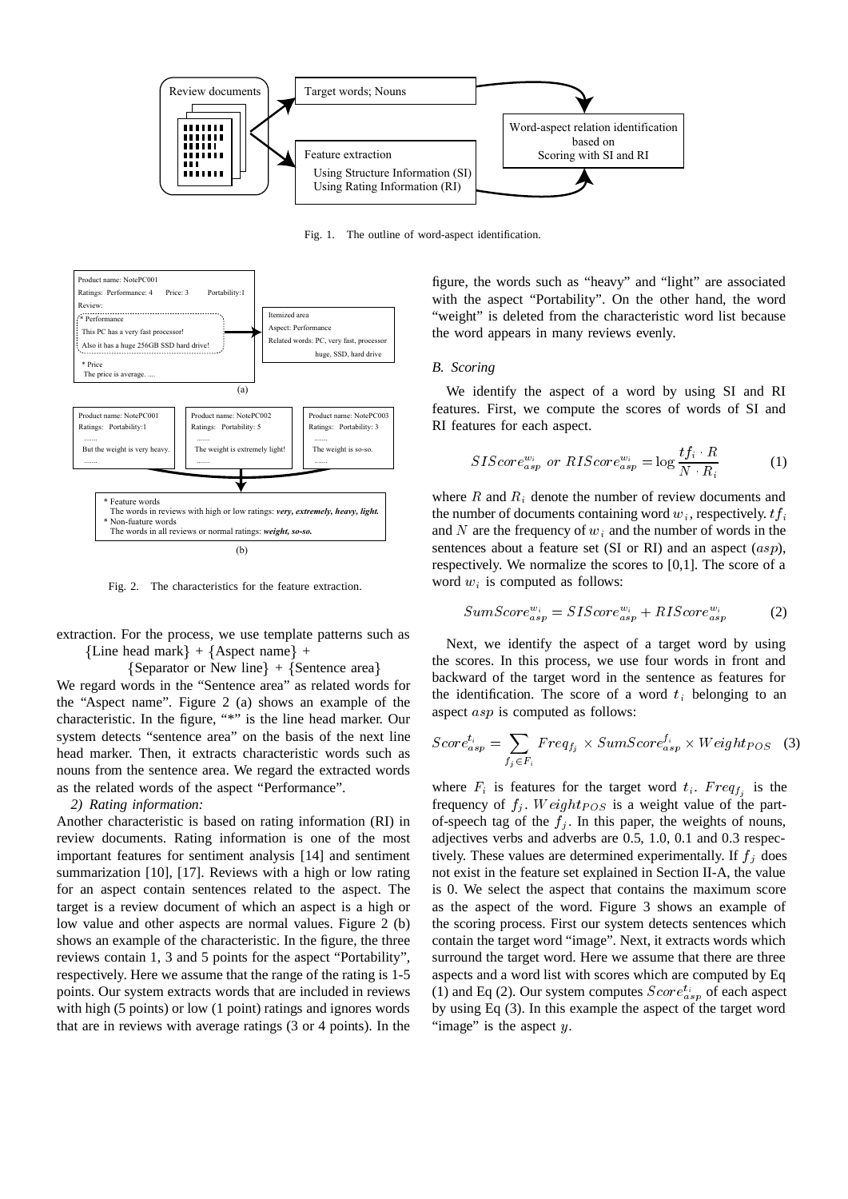

Fig. 1. The outline of word-aspect identification.



Fig. 2. The characteristics for the feature extraction.

extraction. For the process, we use template patterns such as  ${Line head mark} + {Aspect name} +$ 

 $\{Separator \ or \ New \ line\} + \{Sentence \ area\}$ 

We regard words in the "Sentence area" as related words for the "Aspect name". Figure 2 (a) shows an example of the characteristic. In the figure, "\*" is the line head marker. Our system detects "sentence area" on the basis of the next line head marker. Then, it extracts characteristic words such as nouns from the sentence area. We regard the extracted words as the related words of the aspect "Performance".

*2) Rating information:*

Another characteristic is based on rating information (RI) in review documents. Rating information is one of the most important features for sentiment analysis [14] and sentiment summarization [10], [17]. Reviews with a high or low rating for an aspect contain sentences related to the aspect. The target is a review document of which an aspect is a high or low value and other aspects are normal values. Figure 2 (b) shows an example of the characteristic. In the figure, the three reviews contain 1, 3 and 5 points for the aspect "Portability", respectively. Here we assume that the range of the rating is 1-5 points. Our system extracts words that are included in reviews with high (5 points) or low (1 point) ratings and ignores words that are in reviews with average ratings (3 or 4 points). In the

figure, the words such as "heavy" and "light" are associated with the aspect "Portability". On the other hand, the word "weight" is deleted from the characteristic word list because the word appears in many reviews evenly.

# *B. Scoring*

We identify the aspect of a word by using SI and RI features. First, we compute the scores of words of SI and RI features for each aspect.

$$
SIScore_{asp}^{w_i} \text{ or } RIScore_{asp}^{w_i} = \log \frac{tf_i \cdot R}{N \cdot R_i} \tag{1}
$$

where  $R$  and  $R_i$  denote the number of review documents and the number of documents containing word  $w_i$ , respectively.  $tf_i$ and  $N$  are the frequency of  $w_i$  and the number of words in the sentences about a feature set (SI or RI) and an aspect  $(asp)$ , respectively. We normalize the scores to [0,1]. The score of a word  $w_i$  is computed as follows:

$$
SumScore_{asp}^{w_i} = SIScore_{asp}^{w_i} + RIScore_{asp}^{w_i}
$$
 (2)

 backward of the target word in the sentence as features for Next, we identify the aspect of a target word by using the scores. In this process, we use four words in front and the identification. The score of a word  $t_i$  belonging to an aspect  $asp$  is computed as follows:

$$
Score_{asp}^{t_i} = \sum_{f_j \in F_i}Freq_{f_j} \times SumScore_{asp}^{f_i} \times Weight_{POS} \quad (3)
$$

where  $F_i$  is features for the target word  $t_i$ .  $Freq_{f_i}$  is the frequency of  $f_i$ . Weight  $pos$  is a weight value of the partof-speech tag of the  $f_i$ . In this paper, the weights of nouns, adjectives verbs and adverbs are 0.5, 1.0, 0.1 and 0.3 respectively. These values are determined experimentally. If  $f_j$  does not exist in the feature set explained in Section II-A, the value is 0. We select the aspect that contains the maximum score as the aspect of the word. Figure 3 shows an example of the scoring process. First our system detects sentences which contain the target word "image". Next, it extracts words which surround the target word. Here we assume that there are three aspects and a word list with scores which are computed by Eq (1) and Eq (2). Our system computes  $Score_{asp}^{t_i}$  of each aspect by using Eq (3). In this example the aspect of the target word "image" is the aspect  $y$ .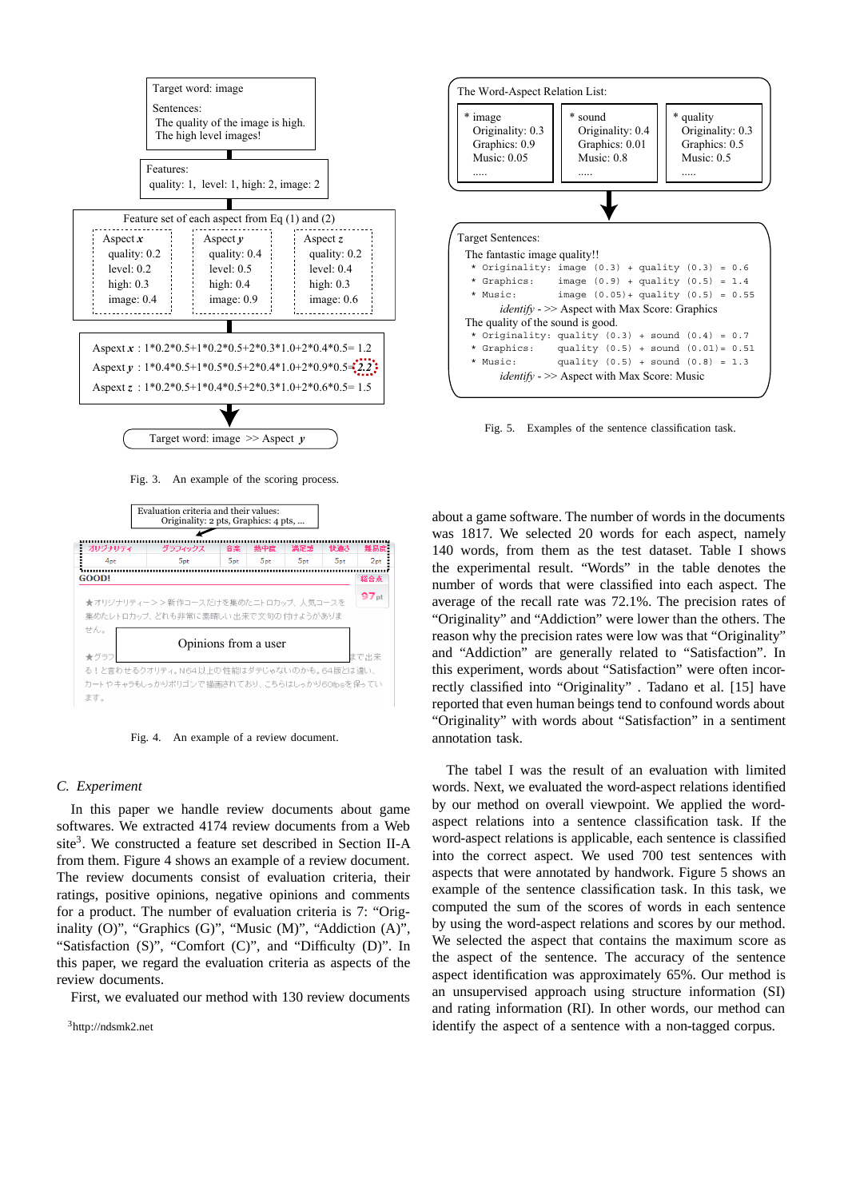

Fig. 3. An example of the scoring process.



Fig. 4. An example of a review document.

### *C. Experiment*

In this paper we handle review documents about game softwares. We extracted 4174 review documents from a Web site<sup>3</sup>. We constructed a feature set described in Section II-A from them. Figure 4 shows an example of a review document. The review documents consist of evaluation criteria, their ratings, positive opinions, negative opinions and comments for a product. The number of evaluation criteria is 7: "Originality (O)", "Graphics (G)", "Music (M)", "Addiction (A)", "Satisfaction (S)", "Comfort (C)", and "Difficulty (D)". In this paper, we regard the evaluation criteria as aspects of the review documents.

First, we evaluated our method with 130 review documents

3http://ndsmk2.net



Fig. 5. Examples of the sentence classification task.

about a game software. The number of words in the documents was 1817. We selected 20 words for each aspect, namely 140 words, from them as the test dataset. Table I shows the experimental result. "Words" in the table denotes the number of words that were classified into each aspect. The average of the recall rate was 72.1%. The precision rates of "Originality" and "Addiction" were lower than the others. The reason why the precision rates were low was that "Originality" and "Addiction" are generally related to "Satisfaction". In this experiment, words about "Satisfaction" were often incorrectly classified into "Originality" . Tadano et al. [15] have reported that even human beings tend to confound words about "Originality" with words about "Satisfaction" in a sentiment annotation task.

The tabel I was the result of an evaluation with limited words. Next, we evaluated the word-aspect relations identified by our method on overall viewpoint. We applied the wordaspect relations into a sentence classification task. If the word-aspect relations is applicable, each sentence is classified into the correct aspect. We used 700 test sentences with aspects that were annotated by handwork. Figure 5 shows an example of the sentence classification task. In this task, we computed the sum of the scores of words in each sentence by using the word-aspect relations and scores by our method. We selected the aspect that contains the maximum score as the aspect of the sentence. The accuracy of the sentence aspect identification was approximately 65%. Our method is an unsupervised approach using structure information (SI) and rating information (RI). In other words, our method can identify the aspect of a sentence with a non-tagged corpus.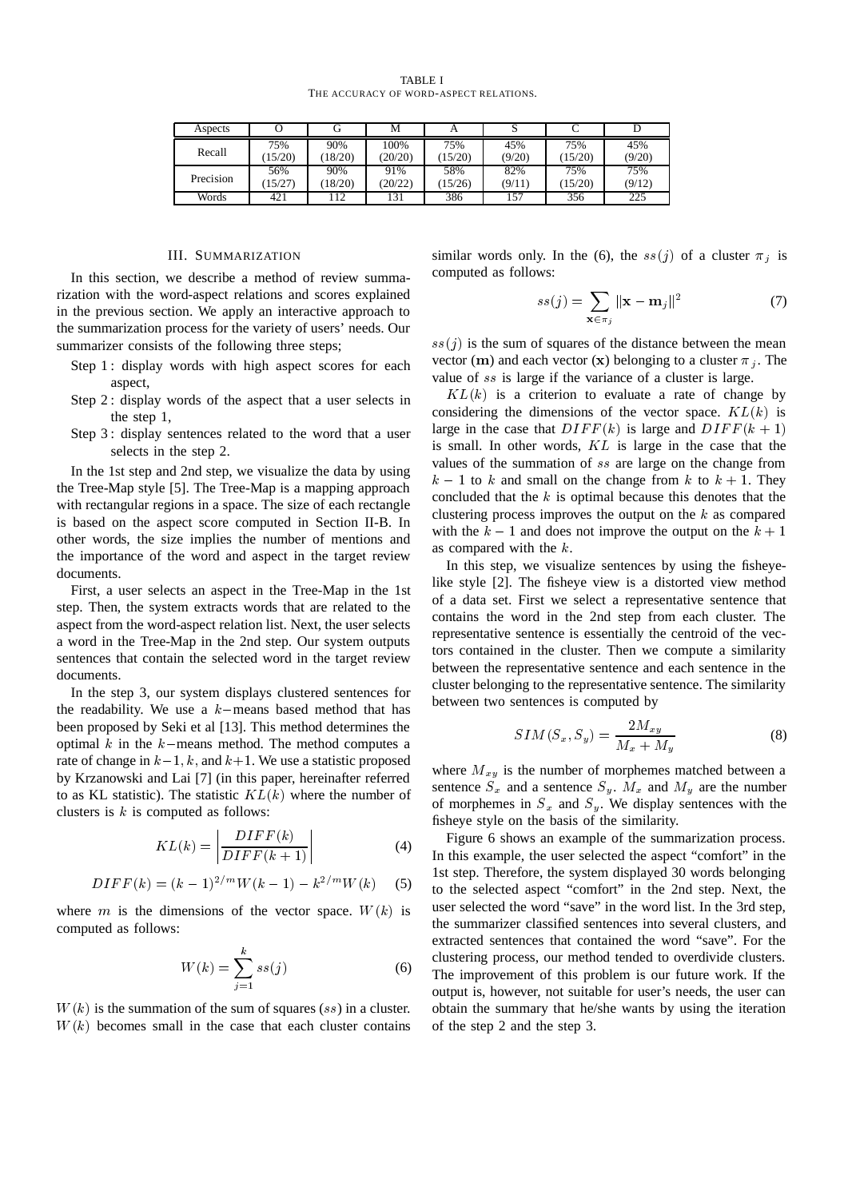TABLE I THE ACCURACY OF WORD-ASPECT RELATIONS.

| Aspects   |         |         | М       |         |        |         |        |
|-----------|---------|---------|---------|---------|--------|---------|--------|
| Recall    | 75%     | 90%     | 100%    | 75%     | 45%    | 75%     | 45%    |
|           | (15/20) | (18/20) | (20/20) | (15/20) | (9/20) | (15/20) | (9/20) |
| Precision | 56%     | 90%     | 91%     | 58%     | 82%    | 75%     | 75%    |
|           | (15/27) | (18/20) | (20/22) | 15/26   | (9/11) | (15/20) | (9/12) |
| Words     | 421     | 112     | 131     | 386     | 157    | 356     | 225    |

# III. SUMMARIZATION

In this section, we describe a method of review summarization with the word-aspect relations and scores explained in the previous section. We apply an interactive approach to the summarization process for the variety of users' needs. Our summarizer consists of the following three steps;

- Step 1 : display words with high aspect scores for each aspect,
- Step 2 : display words of the aspect that a user selects in the step 1,
- Step 3 : display sentences related to the word that a user selects in the step 2.

In the 1st step and 2nd step, we visualize the data by using the Tree-Map style [5]. The Tree-Map is a mapping approach with rectangular regions in a space. The size of each rectangle is based on the aspect score computed in Section II-B. In other words, the size implies the number of mentions and the importance of the word and aspect in the target review documents.

First, a user selects an aspect in the Tree-Map in the 1st step. Then, the system extracts words that are related to the aspect from the word-aspect relation list. Next, the user selects a word in the Tree-Map in the 2nd step. Our system outputs sentences that contain the selected word in the target review documents.

In the step 3, our system displays clustered sentences for the readability. We use a  $k$ -means based method that has been proposed by Seki et al [13]. This method determines the optimal  $k$  in the  $k$ -means method. The method computes a rate of change in  $k-1$ , k, and  $k+1$ . We use a statistic proposed by Krzanowski and Lai [7] (in this paper, hereinafter referred to as KL statistic). The statistic  $KL(k)$  where the number of clusters is  $k$  is computed as follows:

$$
KL(k) = \left| \frac{DIFF(k)}{DIFF(k+1)} \right| \tag{4}
$$

$$
DIFF(k) = (k-1)^{2/m} W(k-1) - k^{2/m} W(k)
$$
 (5)

where *m* is the dimensions of the vector space.  $W(k)$  is computed as follows:

$$
W(k) = \sum_{j=1}^{k} s s(j) \tag{6}
$$

 $W(k)$  is the summation of the sum of squares (ss) in a cluster.  $W(k)$  becomes small in the case that each cluster contains similar words only. In the (6), the  $ss(j)$  of a cluster  $\pi_j$  is computed as follows:

$$
ss(j) = \sum_{\mathbf{x} \in \pi_j} ||\mathbf{x} - \mathbf{m}_j||^2 \tag{7}
$$

 $ss(j)$  is the sum of squares of the distance between the mean vector (**m**) and each vector (**x**) belonging to a cluster  $\pi_j$ . The value of ss is large if the variance of a cluster is large.

 $KL(k)$  is a criterion to evaluate a rate of change by considering the dimensions of the vector space.  $KL(k)$  is large in the case that  $DIFF(k)$  is large and  $DIFF(k + 1)$ is small. In other words,  $KL$  is large in the case that the values of the summation of  $ss$  are large on the change from  $k-1$  to k and small on the change from k to  $k+1$ . They concluded that the  $k$  is optimal because this denotes that the clustering process improves the output on the  $k$  as compared with the  $k - 1$  and does not improve the output on the  $k + 1$ as compared with the  $k$ .

In this step, we visualize sentences by using the fisheyelike style [2]. The fisheye view is a distorted view method of a data set. First we select a representative sentence that contains the word in the 2nd step from each cluster. The representative sentence is essentially the centroid of the vectors contained in the cluster. Then we compute a similarity between the representative sentence and each sentence in the cluster belonging to the representative sentence. The similarity between two sentences is computed by

$$
SIM(S_x, S_y) = \frac{2M_{xy}}{M_x + M_y} \tag{8}
$$

where  $M_{xy}$  is the number of morphemes matched between a sentence  $S_x$  and a sentence  $S_y$ .  $M_x$  and  $M_y$  are the number of morphemes in  $S_x$  and  $S_y$ . We display sentences with the fisheye style on the basis of the similarity.

Figure 6 shows an example of the summarization process. In this example, the user selected the aspect "comfort" in the 1st step. Therefore, the system displayed 30 words belonging to the selected aspect "comfort" in the 2nd step. Next, the user selected the word "save" in the word list. In the 3rd step, the summarizer classified sentences into several clusters, and extracted sentences that contained the word "save". For the clustering process, our method tended to overdivide clusters. The improvement of this problem is our future work. If the output is, however, not suitable for user's needs, the user can obtain the summary that he/she wants by using the iteration of the step 2 and the step 3.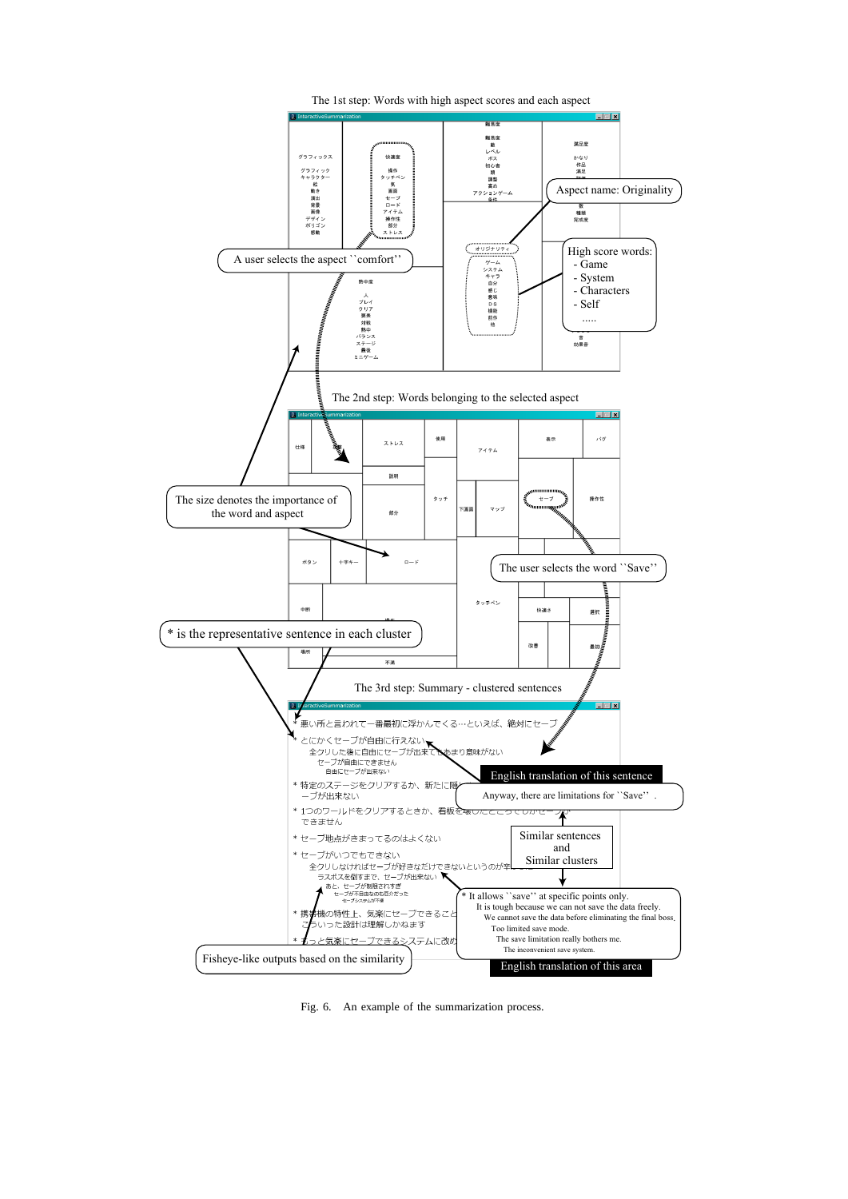![](_page_4_Figure_0.jpeg)

Fig. 6. An example of the summarization process.